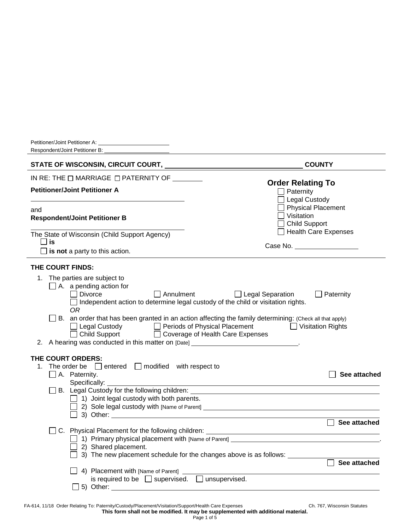| Respondent/Joint Petitioner B:                                                                                                                                                                                                                                                                                                                                                                                                                                                                                                                                                                                                                                                            |                                                                                                                                                                                               |
|-------------------------------------------------------------------------------------------------------------------------------------------------------------------------------------------------------------------------------------------------------------------------------------------------------------------------------------------------------------------------------------------------------------------------------------------------------------------------------------------------------------------------------------------------------------------------------------------------------------------------------------------------------------------------------------------|-----------------------------------------------------------------------------------------------------------------------------------------------------------------------------------------------|
| STATE OF WISCONSIN, CIRCUIT COURT, NAMEL AND RESERVE TO A STATE OF WISCONSIN, CIRCUIT COURT,                                                                                                                                                                                                                                                                                                                                                                                                                                                                                                                                                                                              | <b>COUNTY</b>                                                                                                                                                                                 |
| IN RE: THE $\Box$ MARRIAGE $\Box$ PATERNITY OF                                                                                                                                                                                                                                                                                                                                                                                                                                                                                                                                                                                                                                            |                                                                                                                                                                                               |
| <b>Petitioner/Joint Petitioner A</b>                                                                                                                                                                                                                                                                                                                                                                                                                                                                                                                                                                                                                                                      | <b>Order Relating To</b><br>$\Box$ Paternity<br><b>Legal Custody</b>                                                                                                                          |
| and<br><b>Respondent/Joint Petitioner B</b>                                                                                                                                                                                                                                                                                                                                                                                                                                                                                                                                                                                                                                               | <b>Physical Placement</b><br>Visitation<br><b>Child Support</b><br>$\Box$ Health Care Expenses                                                                                                |
| The State of Wisconsin (Child Support Agency)<br>l lis<br>$\Box$ is not a party to this action.                                                                                                                                                                                                                                                                                                                                                                                                                                                                                                                                                                                           |                                                                                                                                                                                               |
| THE COURT FINDS:<br>1. The parties are subject to<br>$\Box$ A. a pending action for<br>$\Box$ Divorce<br>$\Box$ Annulment<br>□ Independent action to determine legal custody of the child or visitation rights.<br><b>OR</b><br>B. an order that has been granted in an action affecting the family determining: (Check all that apply)<br>□ Legal Custody □ Periods of Physical Placement □ Visitation Rights<br>□ Child Support □ Coverage of Health Care Expenses<br>2. A hearing was conducted in this matter on [Date] ____________________________.<br>THE COURT ORDERS:<br>1. The order be $\Box$ entered $\Box$ modified with respect to<br>$\Box$ A. Paternity.<br>Specifically: | $\Box$ Legal Separation<br>Paternity<br>See attached                                                                                                                                          |
| B. Legal Custody for the following children: ___________________________________<br>$\Box$ 1) Joint legal custody with both parents.<br>1) Primary physical placement with [Name of Parent] ____________________________<br>$\Box$ 2) Shared placement.<br>4) Placement with [Name of Parent]<br>is required to be $\Box$ supervised. $\Box$ unsupervised.                                                                                                                                                                                                                                                                                                                                | $\Box$ See attached<br>and a straingle placement schedule for the changes above is as follows:<br>■ 3) The new placement schedule for the changes above is as follows: △ △ △ △ △ See attached |
| 5) Other: 2008 00:00 00:00 00:00 00:00 00:00 00:00 00:00 00:00 00:00 00:00 00:00 00:00 00:00 00:00 00:00 00:00                                                                                                                                                                                                                                                                                                                                                                                                                                                                                                                                                                            |                                                                                                                                                                                               |

FA-614, 11/18 Order Relating To: Paternity/Custody/Placement/Visitation/Support/Health Care Expenses Ch. 767, Wisconsin Statutes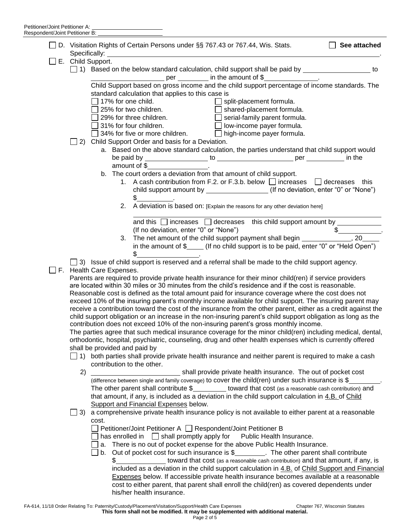|  |                                                                                                                                                                                                                                                                                                                                | □ D. Visitation Rights of Certain Persons under §§ 767.43 or 767.44, Wis. Stats.                                                             | See attached  |  |
|--|--------------------------------------------------------------------------------------------------------------------------------------------------------------------------------------------------------------------------------------------------------------------------------------------------------------------------------|----------------------------------------------------------------------------------------------------------------------------------------------|---------------|--|
|  | $\Box$ E. Child Support.                                                                                                                                                                                                                                                                                                       |                                                                                                                                              |               |  |
|  | □ 1) Based on the below standard calculation, child support shall be paid by ____________________ to                                                                                                                                                                                                                           |                                                                                                                                              |               |  |
|  | _____________________ per ___________ in the amount of \$__________________.                                                                                                                                                                                                                                                   |                                                                                                                                              |               |  |
|  | Child Support based on gross income and the child support percentage of income standards. The<br>standard calculation that applies to this case is                                                                                                                                                                             |                                                                                                                                              |               |  |
|  | $\Box$ 17% for one child.<br>$\Box$ split-placement formula.                                                                                                                                                                                                                                                                   |                                                                                                                                              |               |  |
|  |                                                                                                                                                                                                                                                                                                                                | 25% for two children.<br>$\Box$ shared-placement formula.                                                                                    |               |  |
|  | 29% for three children.<br>$\Box$ serial-family parent formula.                                                                                                                                                                                                                                                                |                                                                                                                                              |               |  |
|  |                                                                                                                                                                                                                                                                                                                                | □ serien recome payer formula.<br>□ low-income payer formula.<br>31% for four children.                                                      |               |  |
|  |                                                                                                                                                                                                                                                                                                                                | ig 31% for four children.<br>□ 34% for five or more children.     □ high-income payer formula.                                               |               |  |
|  |                                                                                                                                                                                                                                                                                                                                | 2) Child Support Order and basis for a Deviation.                                                                                            |               |  |
|  |                                                                                                                                                                                                                                                                                                                                | a. Based on the above standard calculation, the parties understand that child support would                                                  |               |  |
|  |                                                                                                                                                                                                                                                                                                                                | amount of $\frac{1}{2}$ amount of $\frac{1}{2}$ amount of $\frac{1}{2}$ .                                                                    |               |  |
|  |                                                                                                                                                                                                                                                                                                                                | b. The court orders a deviation from that amount of child support.                                                                           |               |  |
|  |                                                                                                                                                                                                                                                                                                                                | 1. A cash contribution from F.2. or F.3.b. below $\Box$ increases $\Box$ decreases this                                                      |               |  |
|  |                                                                                                                                                                                                                                                                                                                                | child support amount by ________________(If no deviation, enter "0" or "None")                                                               |               |  |
|  |                                                                                                                                                                                                                                                                                                                                | $\frac{1}{2}$                                                                                                                                |               |  |
|  |                                                                                                                                                                                                                                                                                                                                | A deviation is based on: [Explain the reasons for any other deviation here]<br>2.                                                            |               |  |
|  |                                                                                                                                                                                                                                                                                                                                | and this $\Box$ increases $\Box$ decreases this child support amount by $\_\_$                                                               |               |  |
|  |                                                                                                                                                                                                                                                                                                                                | (If no deviation, enter "0" or "None")                                                                                                       | $\frac{1}{2}$ |  |
|  |                                                                                                                                                                                                                                                                                                                                |                                                                                                                                              |               |  |
|  |                                                                                                                                                                                                                                                                                                                                | in the amount of $\frac{1}{2}$ (If no child support is to be paid, enter "0" or "Held Open")<br>\$                                           |               |  |
|  | $\Box$ 3) Issue of child support is reserved and a referral shall be made to the child support agency.                                                                                                                                                                                                                         |                                                                                                                                              |               |  |
|  |                                                                                                                                                                                                                                                                                                                                | $\Box$ F. Health Care Expenses.                                                                                                              |               |  |
|  | Parents are required to provide private health insurance for their minor child(ren) if service providers                                                                                                                                                                                                                       |                                                                                                                                              |               |  |
|  | are located within 30 miles or 30 minutes from the child's residence and if the cost is reasonable.                                                                                                                                                                                                                            |                                                                                                                                              |               |  |
|  | Reasonable cost is defined as the total amount paid for insurance coverage where the cost does not<br>exceed 10% of the insuring parent's monthly income available for child support. The insuring parent may<br>receive a contribution toward the cost of the insurance from the other parent, either as a credit against the |                                                                                                                                              |               |  |
|  |                                                                                                                                                                                                                                                                                                                                |                                                                                                                                              |               |  |
|  | child support obligation or an increase in the non-insuring parent's child support obligation as long as the                                                                                                                                                                                                                   |                                                                                                                                              |               |  |
|  | contribution does not exceed 10% of the non-insuring parent's gross monthly income.                                                                                                                                                                                                                                            |                                                                                                                                              |               |  |
|  | The parties agree that such medical insurance coverage for the minor child(ren) including medical, dental,                                                                                                                                                                                                                     |                                                                                                                                              |               |  |
|  | orthodontic, hospital, psychiatric, counseling, drug and other health expenses which is currently offered                                                                                                                                                                                                                      |                                                                                                                                              |               |  |
|  | shall be provided and paid by<br>$\Box$ 1) both parties shall provide private health insurance and neither parent is required to make a cash<br>contribution to the other.<br>2)<br>shall provide private health insurance. The out of pocket cost                                                                             |                                                                                                                                              |               |  |
|  |                                                                                                                                                                                                                                                                                                                                |                                                                                                                                              |               |  |
|  |                                                                                                                                                                                                                                                                                                                                |                                                                                                                                              |               |  |
|  |                                                                                                                                                                                                                                                                                                                                | (difference between single and family coverage) to cover the child(ren) under such insurance is \$                                           |               |  |
|  | The other parent shall contribute $\frac{1}{2}$ toward that cost (as a reasonable cash contribution) and                                                                                                                                                                                                                       |                                                                                                                                              |               |  |
|  | that amount, if any, is included as a deviation in the child support calculation in 4.B. of Child                                                                                                                                                                                                                              |                                                                                                                                              |               |  |
|  | Support and Financial Expenses below.                                                                                                                                                                                                                                                                                          |                                                                                                                                              |               |  |
|  | 3)                                                                                                                                                                                                                                                                                                                             | a comprehensive private health insurance policy is not available to either parent at a reasonable                                            |               |  |
|  |                                                                                                                                                                                                                                                                                                                                | cost.                                                                                                                                        |               |  |
|  |                                                                                                                                                                                                                                                                                                                                | Petitioner/Joint Petitioner A □ Respondent/Joint Petitioner B<br>has enrolled in $\Box$ shall promptly apply for<br>Public Health Insurance. |               |  |
|  |                                                                                                                                                                                                                                                                                                                                | a. There is no out of pocket expense for the above Public Health Insurance.                                                                  |               |  |
|  |                                                                                                                                                                                                                                                                                                                                | b. Out of pocket cost for such insurance is \$_________. The other parent shall contribute                                                   |               |  |
|  |                                                                                                                                                                                                                                                                                                                                | toward that cost (as a reasonable cash contribution) and that amount, if any, is<br>$\frac{1}{2}$                                            |               |  |
|  |                                                                                                                                                                                                                                                                                                                                | included as a deviation in the child support calculation in 4.B. of Child Support and Financial                                              |               |  |
|  |                                                                                                                                                                                                                                                                                                                                | Expenses below. If accessible private health insurance becomes available at a reasonable                                                     |               |  |
|  |                                                                                                                                                                                                                                                                                                                                | cost to either parent, that parent shall enroll the child(ren) as covered dependents under                                                   |               |  |
|  |                                                                                                                                                                                                                                                                                                                                | his/her health insurance.                                                                                                                    |               |  |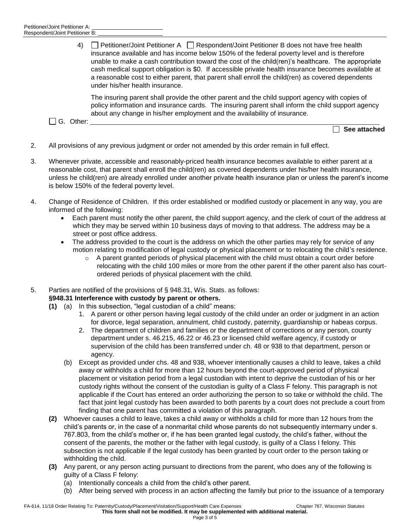4) **Petitioner/Joint Petitioner A Respondent/Joint Petitioner B does not have free health** insurance available and has income below 150% of the federal poverty level and is therefore unable to make a cash contribution toward the cost of the child(ren)'s healthcare. The appropriate cash medical support obligation is \$0. If accessible private health insurance becomes available at a reasonable cost to either parent, that parent shall enroll the child(ren) as covered dependents under his/her health insurance.

The insuring parent shall provide the other parent and the child support agency with copies of policy information and insurance cards. The insuring parent shall inform the child support agency about any change in his/her employment and the availability of insurance.

□ G. Other:

**See attached**

- 2. All provisions of any previous judgment or order not amended by this order remain in full effect.
- 3. Whenever private, accessible and reasonably-priced health insurance becomes available to either parent at a reasonable cost, that parent shall enroll the child(ren) as covered dependents under his/her health insurance, unless he child(ren) are already enrolled under another private health insurance plan or unless the parent's income is below 150% of the federal poverty level.
- 4. Change of Residence of Children. If this order established or modified custody or placement in any way, you are informed of the following:
	- Each parent must notify the other parent, the child support agency, and the clerk of court of the address at which they may be served within 10 business days of moving to that address. The address may be a street or post office address.
	- The address provided to the court is the address on which the other parties may rely for service of any motion relating to modification of legal custody or physical placement or to relocating the child's residence.
		- $\circ$  A parent granted periods of physical placement with the child must obtain a court order before relocating with the child 100 miles or more from the other parent if the other parent also has courtordered periods of physical placement with the child.
- 5. Parties are notified of the provisions of § 948.31, Wis. Stats. as follows:

## **§948.31 Interference with custody by parent or others.**

- **(1)** (a) In this subsection, "legal custodian of a child" means:
	- 1. A parent or other person having legal custody of the child under an order or judgment in an action for divorce, legal separation, annulment, child custody, paternity, guardianship or habeas corpus.
	- 2. The department of children and families or the department of corrections or any person, county department under s. 46.215, 46.22 or 46.23 or licensed child welfare agency, if custody or supervision of the child has been transferred under ch. 48 or 938 to that department, person or agency.
	- (b) Except as provided under chs. 48 and 938, whoever intentionally causes a child to leave, takes a child away or withholds a child for more than 12 hours beyond the court-approved period of physical placement or visitation period from a legal custodian with intent to deprive the custodian of his or her custody rights without the consent of the custodian is guilty of a Class F felony. This paragraph is not applicable if the Court has entered an order authorizing the person to so take or withhold the child. The fact that joint legal custody has been awarded to both parents by a court does not preclude a court from finding that one parent has committed a violation of this paragraph.
- **(2)** Whoever causes a child to leave, takes a child away or withholds a child for more than 12 hours from the child's parents or, in the case of a nonmarital child whose parents do not subsequently intermarry under s. 767.803, from the child's mother or, if he has been granted legal custody, the child's father, without the consent of the parents, the mother or the father with legal custody, is guilty of a Class I felony. This subsection is not applicable if the legal custody has been granted by court order to the person taking or withholding the child.
- **(3)** Any parent, or any person acting pursuant to directions from the parent, who does any of the following is guilty of a Class F felony:
	- (a) Intentionally conceals a child from the child's other parent.
	- (b) After being served with process in an action affecting the family but prior to the issuance of a temporary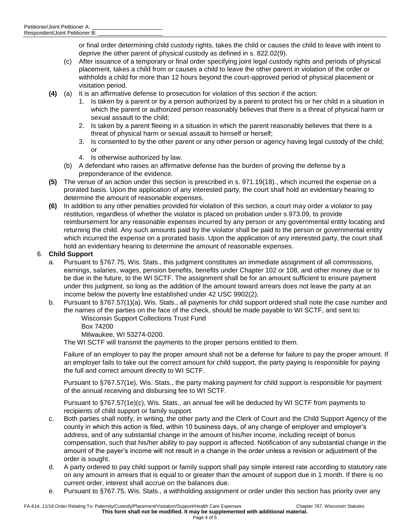or final order determining child custody rights, takes the child or causes the child to leave with intent to deprive the other parent of physical custody as defined in s. 822.02(9).

- (c) After issuance of a temporary or final order specifying joint legal custody rights and periods of physical placement, takes a child from or causes a child to leave the other parent in violation of the order or withholds a child for more than 12 hours beyond the court-approved period of physical placement or visitation period.
- **(4)** (a) It is an affirmative defense to prosecution for violation of this section if the action:
	- 1. Is taken by a parent or by a person authorized by a parent to protect his or her child in a situation in which the parent or authorized person reasonably believes that there is a threat of physical harm or sexual assault to the child;
	- 2. Is taken by a parent fleeing in a situation in which the parent reasonably believes that there is a threat of physical harm or sexual assault to himself or herself;
	- 3. Is consented to by the other parent or any other person or agency having legal custody of the child; or
	- 4. Is otherwise authorized by law.
	- (b) A defendant who raises an affirmative defense has the burden of proving the defense by a preponderance of the evidence.
- **(5)** The venue of an action under this section is prescribed in s. 971.19(18)., which incurred the expense on a prorated basis. Upon the application of any interested party, the court shall hold an evidentiary hearing to determine the amount of reasonable expenses.
- **(6)** In addition to any other penalties provided for violation of this section, a court may order a violator to pay restitution, regardless of whether the violator is placed on probation under s.973.09, to provide reimbursement for any reasonable expenses incurred by any person or any governmental entity locating and returning the child. Any such amounts paid by the violator shall be paid to the person or governmental entity which incurred the expense on a prorated basis. Upon the application of any interested party, the court shall hold an evidentiary hearing to determine the amount of reasonable expenses.

## 6. **Child Support**

- a. Pursuant to §767.75, Wis. Stats., this judgment constitutes an immediate assignment of all commissions, earnings, salaries, wages, pension benefits, benefits under Chapter 102 or 108, and other money due or to be due in the future, to the WI SCTF. The assignment shall be for an amount sufficient to ensure payment under this judgment, so long as the addition of the amount toward arrears does not leave the party at an income below the poverty line established under 42 USC 9902(2).
- b. Pursuant to §767.57(1)(a), Wis. Stats., all payments for child support ordered shall note the case number and the names of the parties on the face of the check, should be made payable to WI SCTF, and sent to:

Wisconsin Support Collections Trust Fund

Box 74200

Milwaukee, WI 53274-0200.

The WI SCTF will transmit the payments to the proper persons entitled to them.

Failure of an employer to pay the proper amount shall not be a defense for failure to pay the proper amount. If an employer fails to take out the correct amount for child support, the party paying is responsible for paying the full and correct amount directly to WI SCTF.

Pursuant to §767.57(1e), Wis. Stats., the party making payment for child support is responsible for payment of the annual receiving and disbursing fee to WI SCTF.

Pursuant to §767.57(1e)(c), Wis. Stats., an annual fee will be deducted by WI SCTF from payments to recipients of child support or family support.

- c. Both parties shall notify, in writing, the other party and the Clerk of Court and the Child Support Agency of the county in which this action is filed, within 10 business days, of any change of employer and employer's address, and of any substantial change in the amount of his/her income, including receipt of bonus compensation, such that his/her ability to pay support is affected. Notification of any substantial change in the amount of the payer's income will not result in a change in the order unless a revision or adjustment of the order is sought.
- d. A party ordered to pay child support or family support shall pay simple interest rate according to statutory rate on any amount in arrears that is equal to or greater than the amount of support due in 1 month. If there is no current order, interest shall accrue on the balances due.
- e. Pursuant to §767.75, Wis. Stats., a withholding assignment or order under this section has priority over any